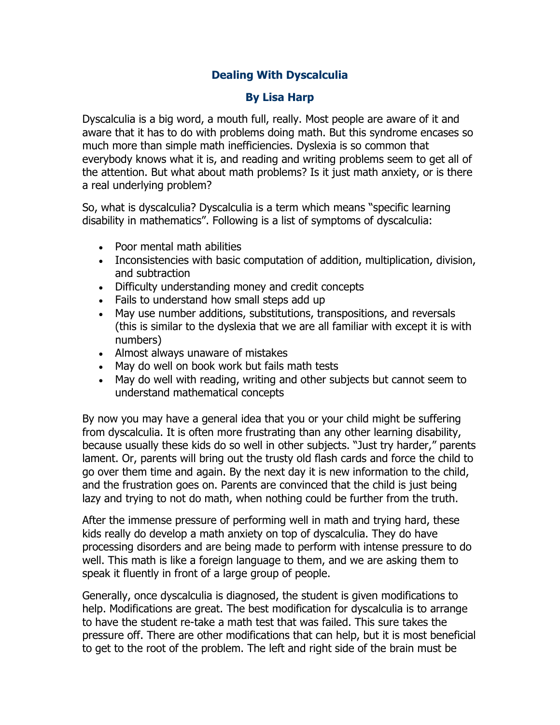## **Dealing With Dyscalculia**

## **By Lisa Harp**

Dyscalculia is a big word, a mouth full, really. Most people are aware of it and aware that it has to do with problems doing math. But this syndrome encases so much more than simple math inefficiencies. Dyslexia is so common that everybody knows what it is, and reading and writing problems seem to get all of the attention. But what about math problems? Is it just math anxiety, or is there a real underlying problem?

So, what is dyscalculia? Dyscalculia is a term which means "specific learning disability in mathematics". Following is a list of symptoms of dyscalculia:

- Poor mental math abilities
- Inconsistencies with basic computation of addition, multiplication, division, and subtraction
- Difficulty understanding money and credit concepts
- Fails to understand how small steps add up
- May use number additions, substitutions, transpositions, and reversals (this is similar to the dyslexia that we are all familiar with except it is with numbers)
- Almost always unaware of mistakes
- May do well on book work but fails math tests
- May do well with reading, writing and other subjects but cannot seem to understand mathematical concepts

By now you may have a general idea that you or your child might be suffering from dyscalculia. It is often more frustrating than any other learning disability, because usually these kids do so well in other subjects. "Just try harder," parents lament. Or, parents will bring out the trusty old flash cards and force the child to go over them time and again. By the next day it is new information to the child, and the frustration goes on. Parents are convinced that the child is just being lazy and trying to not do math, when nothing could be further from the truth.

After the immense pressure of performing well in math and trying hard, these kids really do develop a math anxiety on top of dyscalculia. They do have processing disorders and are being made to perform with intense pressure to do well. This math is like a foreign language to them, and we are asking them to speak it fluently in front of a large group of people.

Generally, once dyscalculia is diagnosed, the student is given modifications to help. Modifications are great. The best modification for dyscalculia is to arrange to have the student re-take a math test that was failed. This sure takes the pressure off. There are other modifications that can help, but it is most beneficial to get to the root of the problem. The left and right side of the brain must be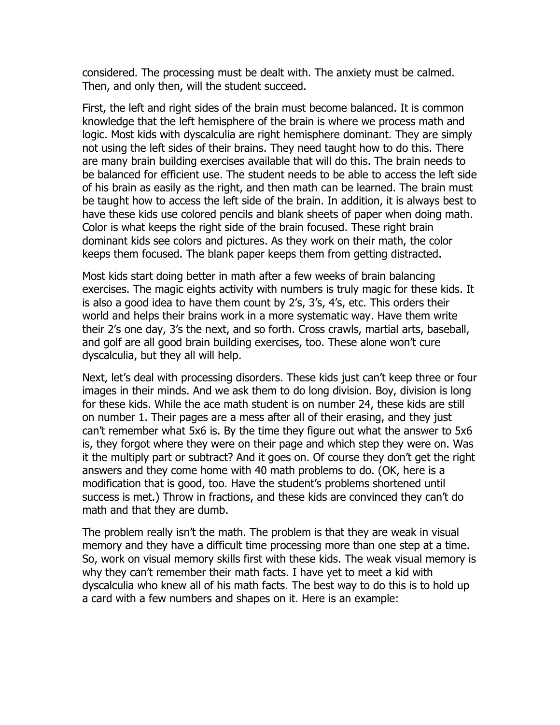considered. The processing must be dealt with. The anxiety must be calmed. Then, and only then, will the student succeed.

First, the left and right sides of the brain must become balanced. It is common knowledge that the left hemisphere of the brain is where we process math and logic. Most kids with dyscalculia are right hemisphere dominant. They are simply not using the left sides of their brains. They need taught how to do this. There are many brain building exercises available that will do this. The brain needs to be balanced for efficient use. The student needs to be able to access the left side of his brain as easily as the right, and then math can be learned. The brain must be taught how to access the left side of the brain. In addition, it is always best to have these kids use colored pencils and blank sheets of paper when doing math. Color is what keeps the right side of the brain focused. These right brain dominant kids see colors and pictures. As they work on their math, the color keeps them focused. The blank paper keeps them from getting distracted.

Most kids start doing better in math after a few weeks of brain balancing exercises. The magic eights activity with numbers is truly magic for these kids. It is also a good idea to have them count by 2's, 3's, 4's, etc. This orders their world and helps their brains work in a more systematic way. Have them write their 2's one day, 3's the next, and so forth. Cross crawls, martial arts, baseball, and golf are all good brain building exercises, too. These alone won't cure dyscalculia, but they all will help.

Next, let's deal with processing disorders. These kids just can't keep three or four images in their minds. And we ask them to do long division. Boy, division is long for these kids. While the ace math student is on number 24, these kids are still on number 1. Their pages are a mess after all of their erasing, and they just can't remember what 5x6 is. By the time they figure out what the answer to 5x6 is, they forgot where they were on their page and which step they were on. Was it the multiply part or subtract? And it goes on. Of course they don't get the right answers and they come home with 40 math problems to do. (OK, here is a modification that is good, too. Have the student's problems shortened until success is met.) Throw in fractions, and these kids are convinced they can't do math and that they are dumb.

The problem really isn't the math. The problem is that they are weak in visual memory and they have a difficult time processing more than one step at a time. So, work on visual memory skills first with these kids. The weak visual memory is why they can't remember their math facts. I have yet to meet a kid with dyscalculia who knew all of his math facts. The best way to do this is to hold up a card with a few numbers and shapes on it. Here is an example: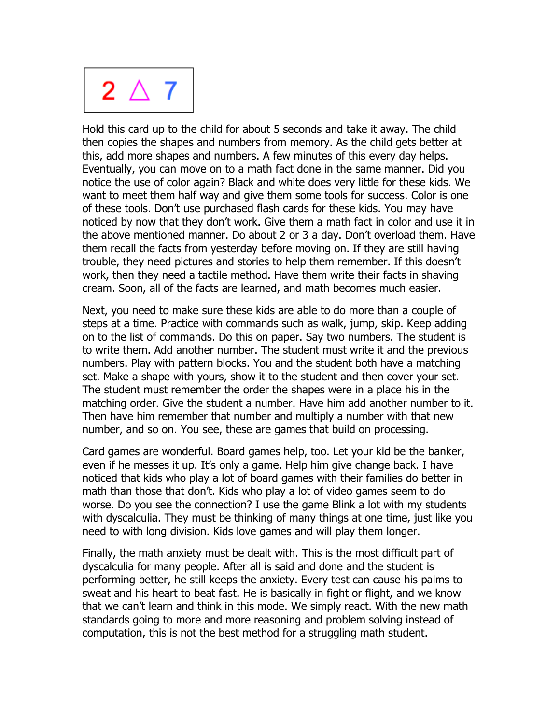

Hold this card up to the child for about 5 seconds and take it away. The child then copies the shapes and numbers from memory. As the child gets better at this, add more shapes and numbers. A few minutes of this every day helps. Eventually, you can move on to a math fact done in the same manner. Did you notice the use of color again? Black and white does very little for these kids. We want to meet them half way and give them some tools for success. Color is one of these tools. Don't use purchased flash cards for these kids. You may have noticed by now that they don't work. Give them a math fact in color and use it in the above mentioned manner. Do about 2 or 3 a day. Don't overload them. Have them recall the facts from yesterday before moving on. If they are still having trouble, they need pictures and stories to help them remember. If this doesn't work, then they need a tactile method. Have them write their facts in shaving cream. Soon, all of the facts are learned, and math becomes much easier.

Next, you need to make sure these kids are able to do more than a couple of steps at a time. Practice with commands such as walk, jump, skip. Keep adding on to the list of commands. Do this on paper. Say two numbers. The student is to write them. Add another number. The student must write it and the previous numbers. Play with pattern blocks. You and the student both have a matching set. Make a shape with yours, show it to the student and then cover your set. The student must remember the order the shapes were in a place his in the matching order. Give the student a number. Have him add another number to it. Then have him remember that number and multiply a number with that new number, and so on. You see, these are games that build on processing.

Card games are wonderful. Board games help, too. Let your kid be the banker, even if he messes it up. It's only a game. Help him give change back. I have noticed that kids who play a lot of board games with their families do better in math than those that don't. Kids who play a lot of video games seem to do worse. Do you see the connection? I use the game Blink a lot with my students with dyscalculia. They must be thinking of many things at one time, just like you need to with long division. Kids love games and will play them longer.

Finally, the math anxiety must be dealt with. This is the most difficult part of dyscalculia for many people. After all is said and done and the student is performing better, he still keeps the anxiety. Every test can cause his palms to sweat and his heart to beat fast. He is basically in fight or flight, and we know that we can't learn and think in this mode. We simply react. With the new math standards going to more and more reasoning and problem solving instead of computation, this is not the best method for a struggling math student.